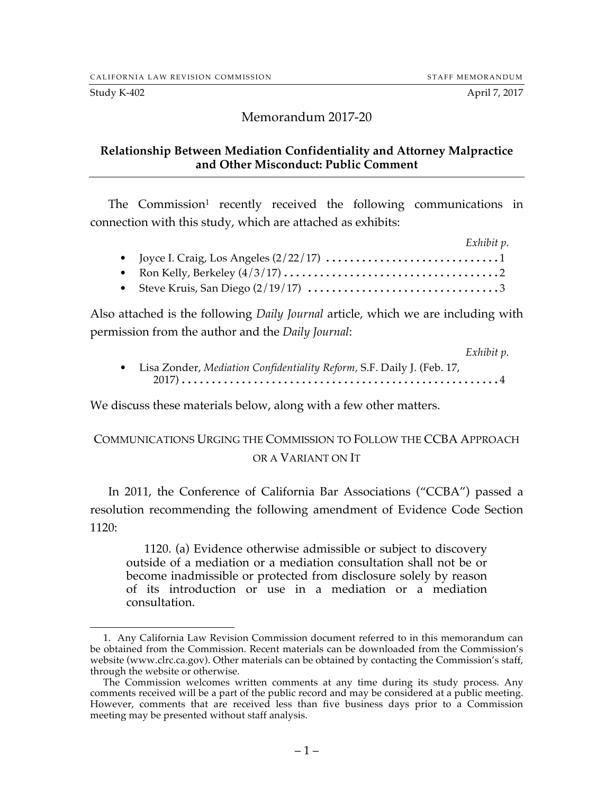### Memorandum 2017-20

#### **Relationship Between Mediation Confidentiality and Attorney Malpractice and Other Misconduct: Public Comment**

The Commission<sup>1</sup> recently received the following communications in connection with this study, which are attached as exhibits:

| Exhibit p.                                                |  |
|-----------------------------------------------------------|--|
|                                                           |  |
|                                                           |  |
| • Steve Kruis, San Diego $\left(\frac{2}{19/17}\right)$ 3 |  |

Also attached is the following *Daily Journal* article, which we are including with permission from the author and the *Daily Journal*:

|                                                                          | Exhibit p. |
|--------------------------------------------------------------------------|------------|
| • Lisa Zonder, Mediation Confidentiality Reform, S.F. Daily J. (Feb. 17, |            |
|                                                                          |            |

We discuss these materials below, along with a few other matters.

# COMMUNICATIONS URGING THE COMMISSION TO FOLLOW THE CCBA APPROACH OR A VARIANT ON IT

In 2011, the Conference of California Bar Associations ("CCBA") passed a resolution recommending the following amendment of Evidence Code Section 1120:

1120. (a) Evidence otherwise admissible or subject to discovery outside of a mediation or a mediation consultation shall not be or become inadmissible or protected from disclosure solely by reason of its introduction or use in a mediation or a mediation consultation.

 <sup>1.</sup> Any California Law Revision Commission document referred to in this memorandum can be obtained from the Commission. Recent materials can be downloaded from the Commission's website (www.clrc.ca.gov). Other materials can be obtained by contacting the Commission's staff, through the website or otherwise.

The Commission welcomes written comments at any time during its study process. Any comments received will be a part of the public record and may be considered at a public meeting. However, comments that are received less than five business days prior to a Commission meeting may be presented without staff analysis.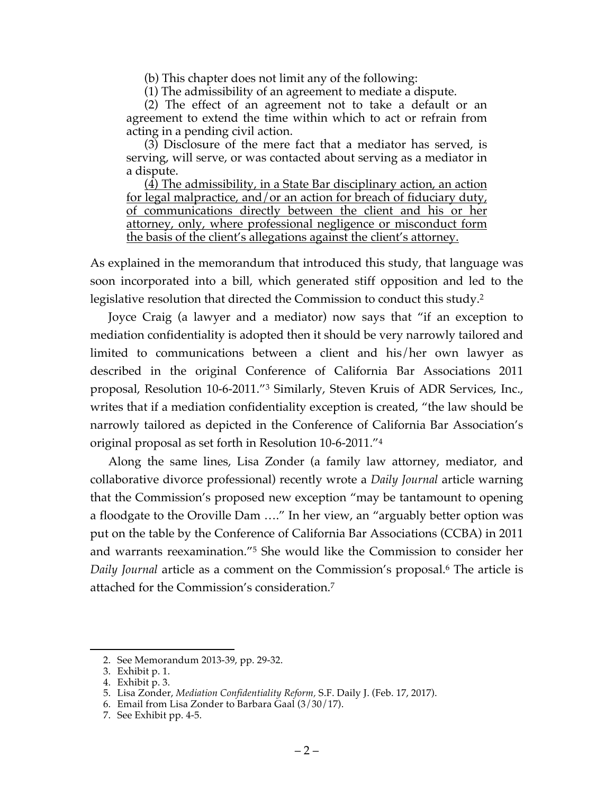(b) This chapter does not limit any of the following:

(1) The admissibility of an agreement to mediate a dispute.

(2) The effect of an agreement not to take a default or an agreement to extend the time within which to act or refrain from acting in a pending civil action.

(3) Disclosure of the mere fact that a mediator has served, is serving, will serve, or was contacted about serving as a mediator in a dispute.

(4) The admissibility, in a State Bar disciplinary action, an action for legal malpractice, and/or an action for breach of fiduciary duty, of communications directly between the client and his or her attorney, only, where professional negligence or misconduct form the basis of the client's allegations against the client's attorney.

As explained in the memorandum that introduced this study, that language was soon incorporated into a bill, which generated stiff opposition and led to the legislative resolution that directed the Commission to conduct this study.<sup>2</sup>

Joyce Craig (a lawyer and a mediator) now says that "if an exception to mediation confidentiality is adopted then it should be very narrowly tailored and limited to communications between a client and his/her own lawyer as described in the original Conference of California Bar Associations 2011 proposal, Resolution 10-6-2011."3 Similarly, Steven Kruis of ADR Services, Inc., writes that if a mediation confidentiality exception is created, "the law should be narrowly tailored as depicted in the Conference of California Bar Association's original proposal as set forth in Resolution 10-6-2011."4

Along the same lines, Lisa Zonder (a family law attorney, mediator, and collaborative divorce professional) recently wrote a *Daily Journal* article warning that the Commission's proposed new exception "may be tantamount to opening a floodgate to the Oroville Dam …." In her view, an "arguably better option was put on the table by the Conference of California Bar Associations (CCBA) in 2011 and warrants reexamination."5 She would like the Commission to consider her *Daily Journal* article as a comment on the Commission's proposal.<sup>6</sup> The article is attached for the Commission's consideration.7

 <sup>2.</sup> See Memorandum 2013-39, pp. 29-32.

<sup>3.</sup> Exhibit p. 1. 4. Exhibit p. 3.

<sup>5.</sup> Lisa Zonder, *Mediation Confidentiality Reform,* S.F. Daily J. (Feb. 17, 2017).

<sup>6.</sup> Email from Lisa Zonder to Barbara Gaal (3/30/17).

<sup>7.</sup> See Exhibit pp. 4-5.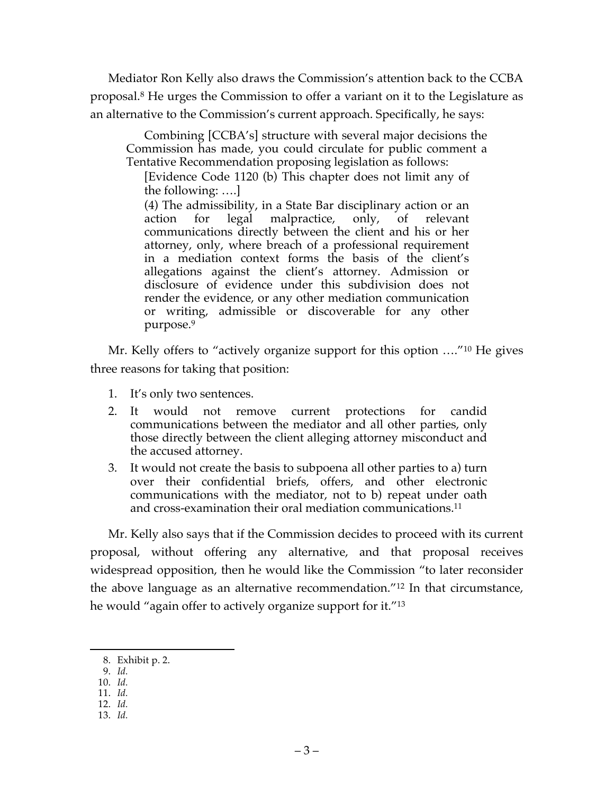Mediator Ron Kelly also draws the Commission's attention back to the CCBA proposal.8 He urges the Commission to offer a variant on it to the Legislature as an alternative to the Commission's current approach. Specifically, he says:

Combining [CCBA's] structure with several major decisions the Commission has made, you could circulate for public comment a Tentative Recommendation proposing legislation as follows:

[Evidence Code 1120 (b) This chapter does not limit any of the following: ….]

(4) The admissibility, in a State Bar disciplinary action or an action for legal malpractice, only, of relevant communications directly between the client and his or her attorney, only, where breach of a professional requirement in a mediation context forms the basis of the client's allegations against the client's attorney. Admission or disclosure of evidence under this subdivision does not render the evidence, or any other mediation communication or writing, admissible or discoverable for any other purpose.9

Mr. Kelly offers to "actively organize support for this option …."10 He gives three reasons for taking that position:

- 1. It's only two sentences.
- 2. It would not remove current protections for candid communications between the mediator and all other parties, only those directly between the client alleging attorney misconduct and the accused attorney.
- 3. It would not create the basis to subpoena all other parties to a) turn over their confidential briefs, offers, and other electronic communications with the mediator, not to b) repeat under oath and cross-examination their oral mediation communications.<sup>11</sup>

Mr. Kelly also says that if the Commission decides to proceed with its current proposal, without offering any alternative, and that proposal receives widespread opposition, then he would like the Commission "to later reconsider the above language as an alternative recommendation."12 In that circumstance, he would "again offer to actively organize support for it."13

- 9. *Id.*
- 10. *Id.*
- 11. *Id.* 12. *Id.*
- 13. *Id.*
- 

 <sup>8.</sup> Exhibit p. 2.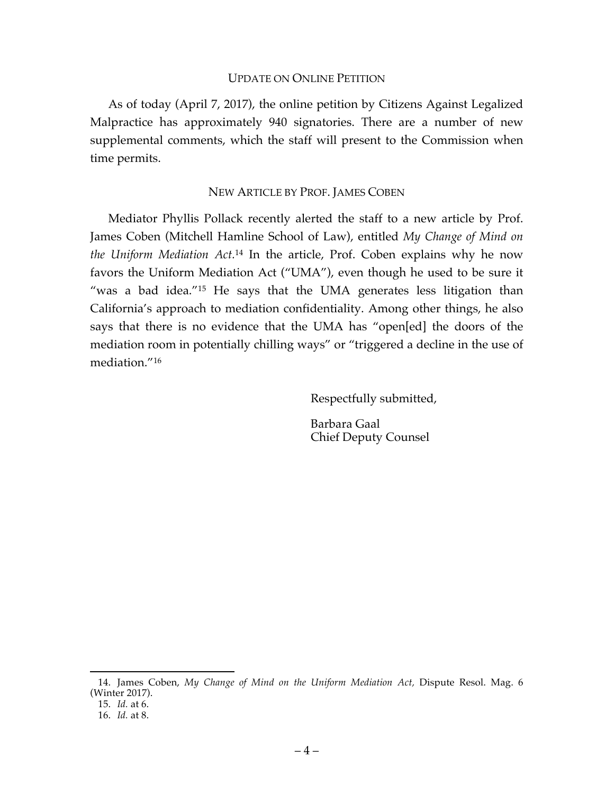#### UPDATE ON ONLINE PETITION

As of today (April 7, 2017), the online petition by Citizens Against Legalized Malpractice has approximately 940 signatories. There are a number of new supplemental comments, which the staff will present to the Commission when time permits.

#### NEW ARTICLE BY PROF. JAMES COBEN

Mediator Phyllis Pollack recently alerted the staff to a new article by Prof. James Coben (Mitchell Hamline School of Law), entitled *My Change of Mind on the Uniform Mediation Act.*<sup>14</sup> In the article, Prof. Coben explains why he now favors the Uniform Mediation Act ("UMA"), even though he used to be sure it "was a bad idea."15 He says that the UMA generates less litigation than California's approach to mediation confidentiality. Among other things, he also says that there is no evidence that the UMA has "open[ed] the doors of the mediation room in potentially chilling ways" or "triggered a decline in the use of mediation."16

Respectfully submitted,

Barbara Gaal Chief Deputy Counsel

 <sup>14.</sup> James Coben, *My Change of Mind on the Uniform Mediation Act,* Dispute Resol. Mag. 6 (Winter 2017).

<sup>15.</sup> *Id.* at 6.

<sup>16.</sup> *Id.* at 8.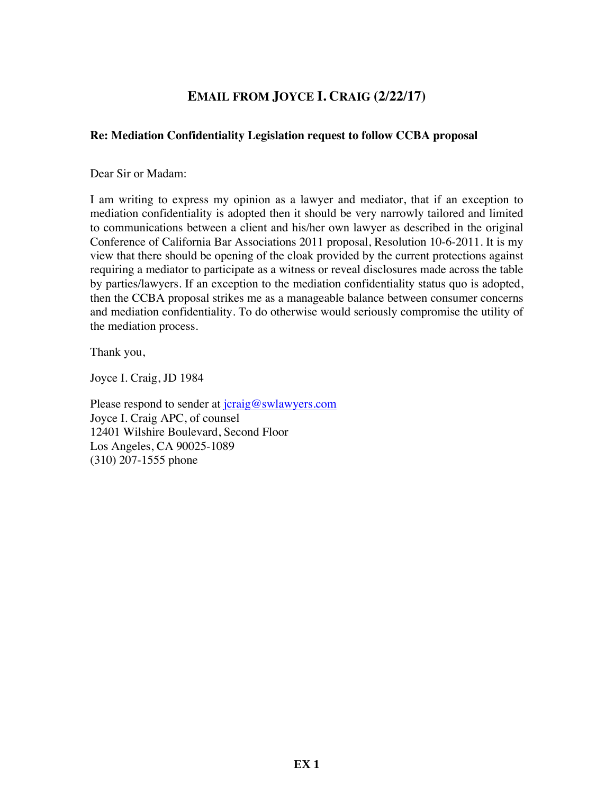# **EMAIL FROM JOYCE I. CRAIG (2/22/17)**

#### **Re: Mediation Confidentiality Legislation request to follow CCBA proposal**

Dear Sir or Madam:

I am writing to express my opinion as a lawyer and mediator, that if an exception to mediation confidentiality is adopted then it should be very narrowly tailored and limited to communications between a client and his/her own lawyer as described in the original Conference of California Bar Associations 2011 proposal, Resolution 10-6-2011. It is my view that there should be opening of the cloak provided by the current protections against requiring a mediator to participate as a witness or reveal disclosures made across the table by parties/lawyers. If an exception to the mediation confidentiality status quo is adopted, then the CCBA proposal strikes me as a manageable balance between consumer concerns and mediation confidentiality. To do otherwise would seriously compromise the utility of the mediation process.

Thank you,

Joyce I. Craig, JD 1984

Please respond to sender at jcraig@swlawyers.com Joyce I. Craig APC, of counsel 12401 Wilshire Boulevard, Second Floor Los Angeles, CA 90025-1089 (310) 207-1555 phone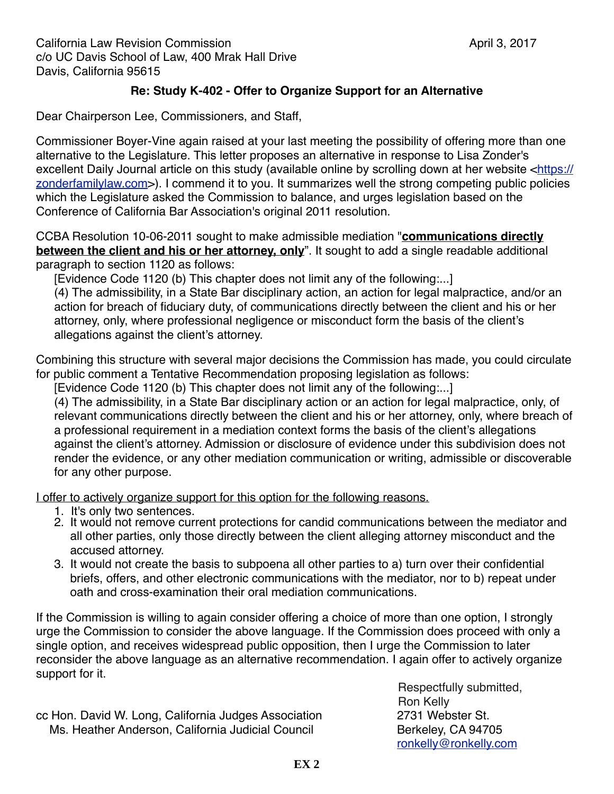California Law Revision Commission! ! ! ! ! ! ! April 3, 2017 c/o UC Davis School of Law, 400 Mrak Hall Drive Davis, California 95615

## **Re: Study K-402 - Offer to Organize Support for an Alternative**

Dear Chairperson Lee, Commissioners, and Staff,

Commissioner Boyer-Vine again raised at your last meeting the possibility of offering more than one alternative to the Legislature. This letter proposes an alternative in response to Lisa Zonder's excellent Daily Journal article on this study (available online by scrolling down at her website <[https://](https://zonderfamilylaw.com/) [zonderfamilylaw.com](https://zonderfamilylaw.com/)>). I commend it to you. It summarizes well the strong competing public policies which the Legislature asked the Commission to balance, and urges legislation based on the Conference of California Bar Association's original 2011 resolution.

CCBA Resolution 10-06-2011 sought to make admissible mediation "**communications directly between the client and his or her attorney, only**". It sought to add a single readable additional paragraph to section 1120 as follows:

[Evidence Code 1120 (b) This chapter does not limit any of the following:...]

(4) The admissibility, in a State Bar disciplinary action, an action for legal malpractice, and/or an action for breach of fiduciary duty, of communications directly between the client and his or her attorney, only, where professional negligence or misconduct form the basis of the client's allegations against the client's attorney.

Combining this structure with several major decisions the Commission has made, you could circulate for public comment a Tentative Recommendation proposing legislation as follows:

[Evidence Code 1120 (b) This chapter does not limit any of the following:...]

(4) The admissibility, in a State Bar disciplinary action or an action for legal malpractice, only, of relevant communications directly between the client and his or her attorney, only, where breach of a professional requirement in a mediation context forms the basis of the client's allegations against the client's attorney. Admission or disclosure of evidence under this subdivision does not render the evidence, or any other mediation communication or writing, admissible or discoverable for any other purpose.

I offer to actively organize support for this option for the following reasons.

- 1. It's only two sentences.
- 2. It would not remove current protections for candid communications between the mediator and all other parties, only those directly between the client alleging attorney misconduct and the accused attorney.
- 3. It would not create the basis to subpoena all other parties to a) turn over their confidential briefs, offers, and other electronic communications with the mediator, nor to b) repeat under oath and cross-examination their oral mediation communications.

If the Commission is willing to again consider offering a choice of more than one option, I strongly urge the Commission to consider the above language. If the Commission does proceed with only a single option, and receives widespread public opposition, then I urge the Commission to later reconsider the above language as an alternative recommendation. I again offer to actively organize support for it.

cc Hon. David W. Long, California Judges Association 2731 Webster St. Ms. Heather Anderson, California Judicial Council **1990 Berkeley, CA 94705** 

Respectfully submitted, Ron Kelly [ronkelly@ronkelly.com](mailto:ronkelly@ronkelly.com)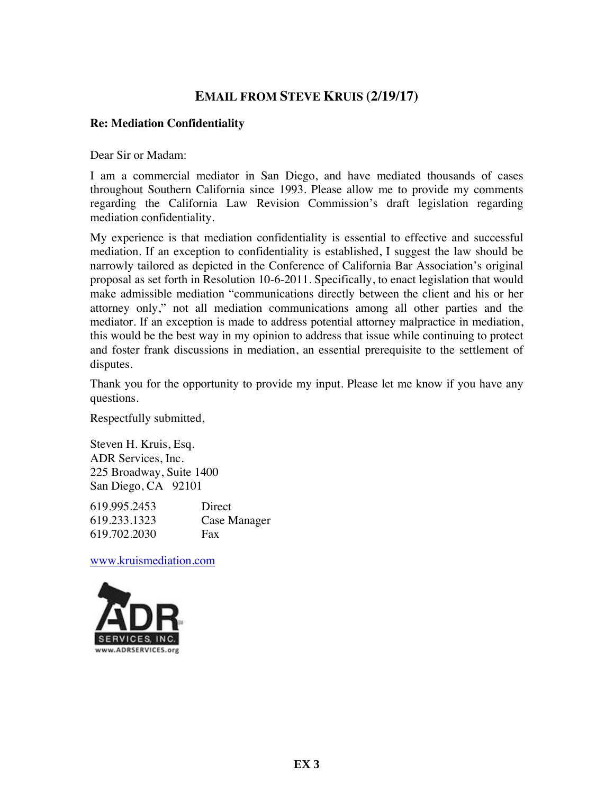## **EMAIL FROM STEVE KRUIS (2/19/17)**

#### **Re: Mediation Confidentiality**

Dear Sir or Madam:

I am a commercial mediator in San Diego, and have mediated thousands of cases throughout Southern California since 1993. Please allow me to provide my comments regarding the California Law Revision Commission's draft legislation regarding mediation confidentiality.

My experience is that mediation confidentiality is essential to effective and successful mediation. If an exception to confidentiality is established, I suggest the law should be narrowly tailored as depicted in the Conference of California Bar Association's original proposal as set forth in Resolution 10-6-2011. Specifically, to enact legislation that would make admissible mediation "communications directly between the client and his or her attorney only," not all mediation communications among all other parties and the mediator. If an exception is made to address potential attorney malpractice in mediation, this would be the best way in my opinion to address that issue while continuing to protect and foster frank discussions in mediation, an essential prerequisite to the settlement of disputes.

Thank you for the opportunity to provide my input. Please let me know if you have any questions.

Respectfully submitted,

Steven H. Kruis, Esq. ADR Services, Inc. 225 Broadway, Suite 1400 San Diego, CA 92101

619.995.2453 Direct 619.233.1323 Case Manager 619.702.2030 Fax

www.kruismediation.com

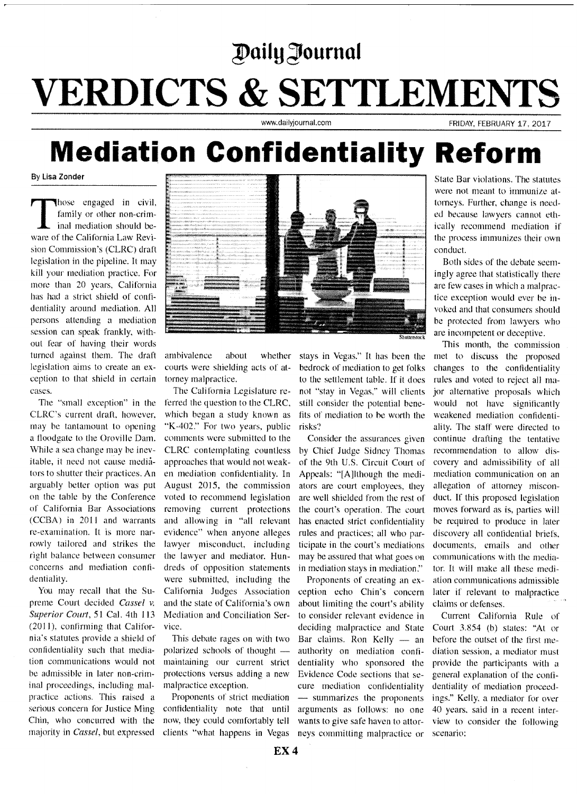# Daily Journal

# **VERDICTS & SETTLEMENTS**

www.dailviournal.com

FRIDAY, FEBRUARY 17, 2017

# **Mediation Confidentiality Reform**

By Lisa Zonder

hose engaged in civil, family or other non-criminal mediation should beware of the California Law Revision Commission's (CLRC) draft legislation in the pipeline. It may kill your mediation practice. For more than 20 years, California has had a strict shield of confidentiality around mediation. All persons attending a mediation session can speak frankly, without fear of having their words turned against them. The draft legislation aims to create an exception to that shield in certain cases.

The "small exception" in the CLRC's current draft, however, may be tantamount to opening a floodgate to the Oroville Dam. While a sea change may be inevitable, it need not cause mediators to shutter their practices. An arguably better option was put on the table by the Conference of California Bar Associations (CCBA) in 2011 and warrants re-examination. It is more narrowly tailored and strikes the right balance between consumer concerns and mediation confidentiality.

You may recall that the Supreme Court decided Cassel v. Superior Court, 51 Cal. 4th 113 (2011), confirming that California's statutes provide a shield of confidentiality such that mediation communications would not be admissible in later non-criminal proceedings, including malpractice actions. This raised a serious concern for Justice Ming Chin, who concurred with the majority in *Cassel*, but expressed



ambivalence about whether courts were shielding acts of attorney malpractice.

The California Legislature referred the question to the CLRC. which began a study known as "K-402." For two years, public comments were submitted to the CLRC contemplating countless approaches that would not weaken mediation confidentiality. In August 2015, the commission voted to recommend legislation removing current protections and allowing in "all relevant evidence" when anyone alleges lawyer misconduct, including the lawyer and mediator. Hundreds of opposition statements were submitted, including the California Judges Association and the state of California's own Mediation and Conciliation Service.

This debate rages on with two polarized schools of thought maintaining our current strict protections versus adding a new malpractice exception.

Proponents of strict mediation confidentiality note that until now, they could comfortably tell clients "what happens in Vegas" stays in Vegas." It has been the bedrock of mediation to get folks to the settlement table. If it does not "stay in Vegas," will clients still consider the potential benefits of mediation to be worth the risks?

Consider the assurances given by Chief Judge Sidney Thomas of the 9th U.S. Circuit Court of Appeals: "[A]lthough the mediators are court employees, they are well shielded from the rest of the court's operation. The court has enacted strict confidentiality rules and practices; all who participate in the court's mediations may be assured that what goes on in mediation stays in mediation."

Proponents of creating an exception echo Chin's concern about limiting the court's ability to consider relevant evidence in deciding malpractice and State Bar claims. Ron Kelly - an authority on mediation confidentiality who sponsored the Evidence Code sections that secure mediation confidentiality - summarizes the proponents arguments as follows: no one wants to give safe haven to attorneys committing malpractice or

State Bar violations. The statutes were not meant to immunize attorneys. Further, change is needed because lawyers cannot ethically recommend mediation if the process immunizes their own conduct.

Both sides of the debate seemingly agree that statistically there are few cases in which a malpractice exception would ever be invoked and that consumers should be protected from lawyers who are incompetent or deceptive.

This month, the commission met to discuss the proposed changes to the confidentiality rules and voted to reject all major alternative proposals which would not have significantly weakened mediation confidentiality. The staff were directed to continue drafting the tentative recommendation to allow discovery and admissibility of all mediation communication on an allegation of attorney misconduct. If this proposed legislation moves forward as is, parties will be required to produce in later discovery all confidential briefs. documents, emails and other communications with the mediator. It will make all these mediation communications admissible later if relevant to malpractice claims or defenses.

Current California Rule of Court 3.854 (b) states: "At or before the outset of the first mediation session, a mediator must provide the participants with a general explanation of the confidentiality of mediation proceedings." Kelly, a mediator for over 40 years, said in a recent interview to consider the following scenario: